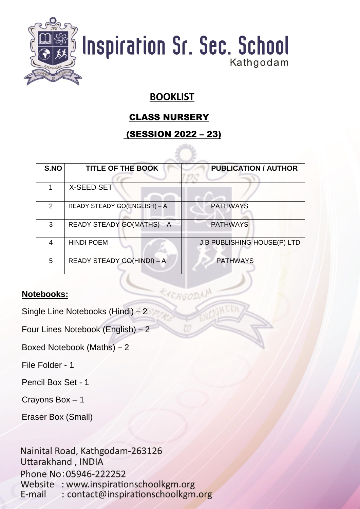

#### **BOOKLIST**

#### CLASS NURSERY

#### (SESSION 2022 – 23)

| S.NO          | <b>TITLE OF THE BOOK</b>     | <b>PUBLICATION / AUTHOR</b>        |
|---------------|------------------------------|------------------------------------|
|               |                              |                                    |
|               | <b>X-SEED SET</b>            |                                    |
| $\mathcal{P}$ | READY STEADY GO(ENGLISH) - A | <b>PATHWAYS</b>                    |
| 3             | READY STEADY GO(MATHS) – A   | <b>PATHWAYS</b>                    |
| 4             | <b>HINDI POEM</b>            | <b>J.B PUBLISHING HOUSE(P) LTD</b> |
| 5             | READY STEADY GO(HINDI) - A   | <b>PATHWAYS</b>                    |
|               |                              |                                    |

ACHGODAN

#### **Notebooks:**

Single Line Notebooks (Hindi) – 2

Four Lines Notebook (English) – 2

Boxed Notebook (Maths) – 2

File Folder - 1

Pencil Box Set - 1

Crayons Box – 1

Eraser Box (Small)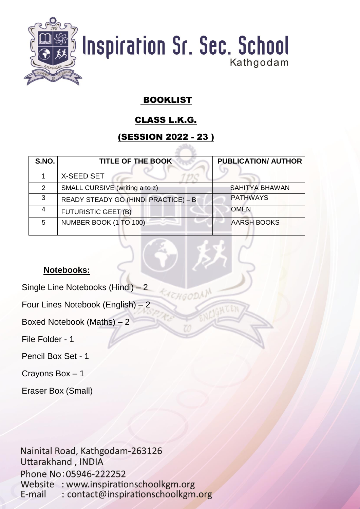

#### BOOKLIST

#### CLASS L.K.G.

#### (SESSION 2022 - 23 )

| S.NO. | <b>TITLE OF THE BOOK</b>             | <b>PUBLICATION/ AUTHOR</b> |
|-------|--------------------------------------|----------------------------|
|       | X-SEED SET                           |                            |
| 2     | SMALL CURSIVE (writing a to z)       | <b>SAHITYA BHAWAN</b>      |
| 3     | READY STEADY GO (HINDI PRACTICE) - B | <b>PATHWAYS</b>            |
|       | <b>FUTURISTIC GEET (B)</b>           | <b>OMEN</b>                |
| 5     | NUMBER BOOK (1 TO 100)               | <b>AARSH BOOKS</b>         |

TEHGODAN

#### **Notebooks:**

Single Line Notebooks (Hindi) – 2

Four Lines Notebook (English) – 2

Boxed Notebook (Maths) – 2

File Folder - 1

Pencil Box Set - 1

Crayons Box – 1

Eraser Box (Small)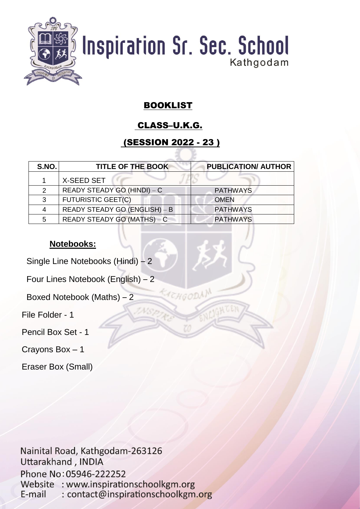

#### BOOKLIST

#### CLASS–U.K.G.

#### (SESSION 2022 - 23 )

CHGODAN

| S.NO. | <b>TITLE OF THE BOOK</b>      | <b>PUBLICATION/ AUTHOR</b> |
|-------|-------------------------------|----------------------------|
|       | X-SEED SET                    |                            |
| 2     | READY STEADY GO (HINDI) - C   | <b>PATHWAYS</b>            |
| 3     | <b>FUTURISTIC GEET(C)</b>     | <b>OMEN</b>                |
|       | READY STEADY GO (ENGLISH) - B | <b>PATHWAYS</b>            |
| 5     | READY STEADY GO (MATHS) – C   | <b>PATHWAYS</b>            |
|       |                               |                            |

#### **Notebooks:**

Single Line Notebooks (Hindi) – 2

Four Lines Notebook (English) – 2

Boxed Notebook (Maths) – 2

File Folder - 1

Pencil Box Set - 1

Crayons Box – 1

Eraser Box (Small)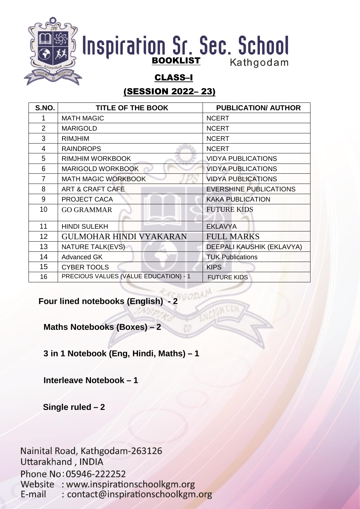

#### CLASS–I

#### (SESSION 2022– 23)

| S.NO.           | <b>TITLE OF THE BOOK</b>              | <b>PUBLICATION/ AUTHOR</b>    |
|-----------------|---------------------------------------|-------------------------------|
|                 | <b>MATH MAGIC</b>                     | <b>NCERT</b>                  |
| $\overline{2}$  | <b>MARIGOLD</b>                       | <b>NCERT</b>                  |
| 3               | <b>RIMJHIM</b>                        | <b>NCERT</b>                  |
| 4               | <b>RAINDROPS</b>                      | <b>NCERT</b>                  |
| 5               | RIMJHIM WORKBOOK                      | <b>VIDYA PUBLICATIONS</b>     |
| 6               | <b>MARIGOLD WORKBOOK</b>              | <b>VIDYA PUBLICATIONS</b>     |
| 7               | <b>MATH MAGIC WORKBOOK</b>            | <b>VIDYA PUBLICATIONS</b>     |
| 8               | <b>ART &amp; CRAFT CAFE</b>           | <b>EVERSHINE PUBLICATIONS</b> |
| 9               | PROJECT CACA                          | <b>KAKA PUBLICATION</b>       |
| 10              | <b>GO GRAMMAR</b>                     | <b>FUTURE KIDS</b>            |
| 11              | <b>HINDI SULEKH</b>                   | <b>EKLAVYA</b>                |
| 12 <sup>2</sup> | <b>GULMOHAR HINDI VYAKARAN</b>        | <b>FULL MARKS</b>             |
| 13              | <b>NATURE TALK(EVS)</b>               | DEEPALI KAUSHIK (EKLAVYA)     |
| 14              | <b>Advanced GK</b>                    | <b>TUK Publications</b>       |
| 15              | <b>CYBER TOOLS</b>                    | <b>KIPS</b>                   |
| 16              | PRECIOUS VALUES (VALUE EDUCATION) - 1 | <b>FUTURE KIDS</b>            |

**Four lined notebooks (English) - 2**

**Maths Notebooks (Boxes) – 2**

**3 in 1 Notebook (Eng, Hindi, Maths) – 1**

**Interleave Notebook – 1**

 **Single ruled – 2**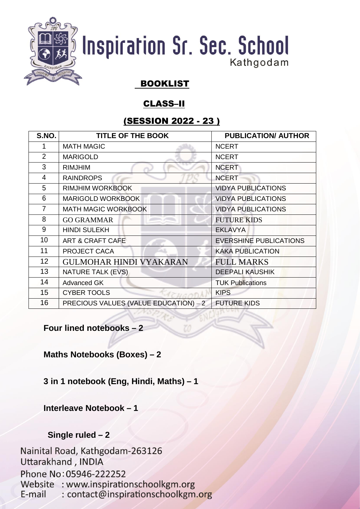

#### BOOKLIST

#### CLASS–II

#### (SESSION 2022 - 23 )

| S.NO.           | <b>TITLE OF THE BOOK</b>              | <b>PUBLICATION/ AUTHOR</b>    |
|-----------------|---------------------------------------|-------------------------------|
|                 | <b>MATH MAGIC</b>                     | <b>NCERT</b>                  |
| $\overline{2}$  | <b>MARIGOLD</b>                       | <b>NCERT</b>                  |
| 3               | <b>RIMJHIM</b>                        | <b>NCERT</b>                  |
| 4               | <b>RAINDROPS</b>                      | <b>NCERT</b>                  |
| 5               | <b>RIMJHIM WORKBOOK</b>               | <b>VIDYA PUBLICATIONS</b>     |
| 6               | <b>MARIGOLD WORKBOOK</b>              | <b>VIDYA PUBLICATIONS</b>     |
| 7               | <b>MATH MAGIC WORKBOOK</b>            | <b>VIDYA PUBLICATIONS</b>     |
| 8               | <b>GO GRAMMAR</b>                     | <b>FUTURE KIDS</b>            |
| 9               | <b>HINDI SULEKH</b>                   | <b>EKLAVYA</b>                |
| 10              | ART & CRAFT CAFE                      | <b>EVERSHINE PUBLICATIONS</b> |
| 11              | PROJECT CACA                          | <b>KAKA PUBLICATION</b>       |
| 12 <sup>2</sup> | <b>GULMOHAR HINDI VYAKARAN</b>        | <b>FULL MARKS</b>             |
| 13              | NATURE TALK (EVS)                     | <b>DEEPALI KAUSHIK</b>        |
| 14              | <b>Advanced GK</b>                    | <b>TUK Publications</b>       |
| 15              | <b>CYBER TOOLS</b>                    | <b>KIPS</b>                   |
| 16              | PRECIOUS VALUES (VALUE EDUCATION) - 2 | <b>FUTURE KIDS</b>            |

**Four lined notebooks – 2**

**Maths Notebooks (Boxes) – 2**

**3 in 1 notebook (Eng, Hindi, Maths) – 1**

**Interleave Notebook – 1**

#### **Single ruled – 2**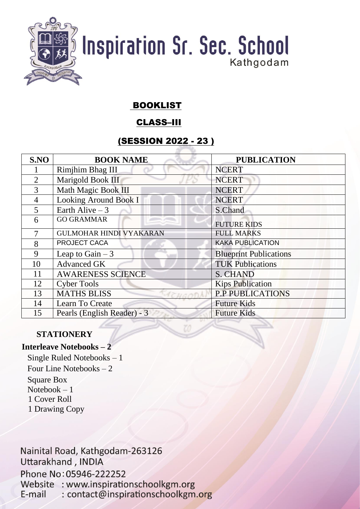

#### BOOKLIST

#### CLASS–III

#### (SESSION 2022 - 23 )

| S.NO           | <b>BOOK NAME</b>               | <b>PUBLICATION</b>            |
|----------------|--------------------------------|-------------------------------|
|                | Rimjhim Bhag III               | <b>NCERT</b>                  |
| $\overline{2}$ | Marigold Book III              | <b>NCERT</b>                  |
| 3              | Math Magic Book III            | <b>NCERT</b>                  |
| $\overline{4}$ | <b>Looking Around Book I</b>   | <b>NCERT</b>                  |
| 5              | Earth Alive $-3$               | S.Chand                       |
| 6              | <b>GO GRAMMAR</b>              | <b>FUTURE KIDS</b>            |
| 7              | <b>GULMOHAR HINDI VYAKARAN</b> | <b>FULL MARKS</b>             |
| 8              | PROJECT CACA                   | <b>KAKA PUBLICATION</b>       |
| 9              | Leap to Gain $-3$              | <b>Blueprint Publications</b> |
| 10             | <b>Advanced GK</b>             | <b>TUK Publications</b>       |
| 11             | <b>AWARENESS SCIENCE</b>       | <b>S. CHAND</b>               |
| 12             | <b>Cyber Tools</b>             | <b>Kips Publication</b>       |
| 13             | <b>MATHS BLISS</b>             | <b>P.P PUBLICATIONS</b>       |
| 14             | Learn To Create                | <b>Future Kids</b>            |
| 15             | Pearls (English Reader) - 3    | <b>Future Kids</b>            |

#### **STATIONERY**

#### **Interleave Notebooks – 2**

Single Ruled Notebooks – 1 Four Line Notebooks – 2 Square Box Notebook – 1 1 Cover Roll 1 Drawing Copy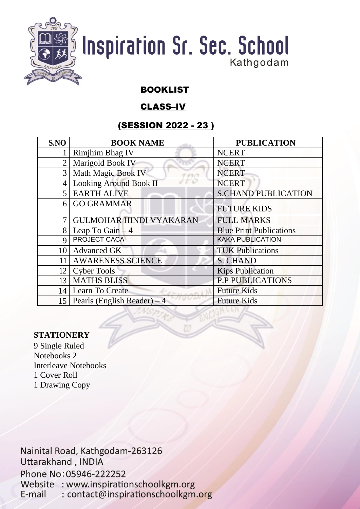

#### BOOKLIST

#### CLASS–IV

#### (SESSION 2022 - 23 )

| S.NO            | <b>BOOK NAME</b>                  | <b>PUBLICATION</b>             |
|-----------------|-----------------------------------|--------------------------------|
|                 | <b>Rimjhim Bhag IV</b>            | <b>NCERT</b>                   |
|                 | Marigold Book IV                  | <b>NCERT</b>                   |
| 3 <sup>1</sup>  | Math Magic Book IV                | <b>NCERT</b>                   |
| $\vert 4 \vert$ | <b>Looking Around Book II</b>     | <b>NCERT</b>                   |
| $\overline{5}$  | <b>EARTH ALIVE</b>                | <b>S.CHAND PUBLICATION</b>     |
| 6               | <b>GO GRAMMAR</b>                 | <b>FUTURE KIDS</b>             |
| $\tau$          | <b>GULMOHAR HINDI VYAKARAN</b>    | <b>FULL MARKS</b>              |
| 8               | Leap To Gain $-4$                 | <b>Blue Print Publications</b> |
| $\mathbf Q$     | PROJECT CACA                      | <b>KAKA PUBLICATION</b>        |
| 10              | <b>Advanced GK</b>                | <b>TUK Publications</b>        |
| 11              | <b>AWARENESS SCIENCE</b>          | <b>S. CHAND</b>                |
| 12              | <b>Cyber Tools</b>                | <b>Kips Publication</b>        |
| 13              | <b>MATHS BLISS</b>                | <b>P.P PUBLICATIONS</b>        |
| 14              | Learn To Create                   | <b>Future Kids</b>             |
|                 | 15   Pearls (English Reader) $-4$ | <b>Future Kids</b>             |

#### **STATIONERY**

9 Single Ruled Notebooks 2 Interleave Notebooks 1 Cover Roll 1 Drawing Copy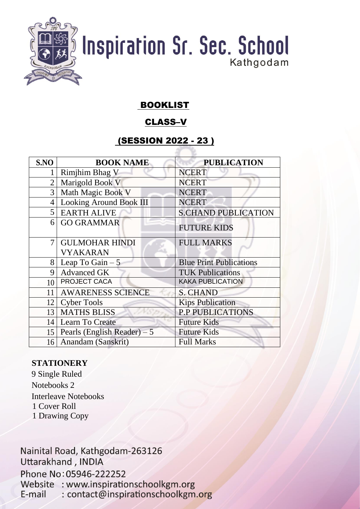

#### BOOKLIST

#### CLASS–V

#### (SESSION 2022 - 23 )

| S.NO            | <b>BOOK NAME</b>                  | <b>PUBLICATION</b>             |
|-----------------|-----------------------------------|--------------------------------|
|                 | <b>Rimjhim Bhag V</b>             | <b>NCERT</b>                   |
| $\overline{2}$  | Marigold Book V                   | <b>NCERT</b>                   |
| 3 <sup>1</sup>  | Math Magic Book V                 | <b>NCERT</b>                   |
| $\overline{4}$  | <b>Looking Around Book III</b>    | <b>NCERT</b>                   |
|                 | 5 EARTH ALIVE                     | <b>S.CHAND PUBLICATION</b>     |
|                 | 6 GO GRAMMAR                      | <b>FUTURE KIDS</b>             |
| 7               | <b>GULMOHAR HINDI</b>             | <b>FULL MARKS</b>              |
|                 | <b>VYAKARAN</b>                   |                                |
| 8               | Leap To Gain $-5$                 | <b>Blue Print Publications</b> |
| 9               | <b>Advanced GK</b>                | <b>TUK Publications</b>        |
| 10 <sup>1</sup> | PROJECT CACA                      | <b>KAKA PUBLICATION</b>        |
| 11              | <b>AWARENESS SCIENCE</b>          | <b>S. CHAND</b>                |
|                 | 12 Cyber Tools                    | <b>Kips Publication</b>        |
| 13              | <b>MATHS BLISS</b>                | <b>P.P PUBLICATIONS</b>        |
| 14              | Learn To Create                   | <b>Future Kids</b>             |
|                 | 15   Pearls (English Reader) $-5$ | <b>Future Kids</b>             |
|                 | 16 Anandam (Sanskrit)             | <b>Full Marks</b>              |

#### **STATIONERY**

9 Single Ruled Notebooks 2 Interleave Notebooks 1 Cover Roll 1 Drawing Copy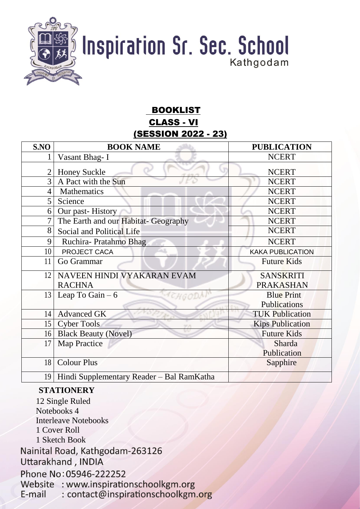

#### BOOKLIST CLASS - VI (SESSION 2022 - 23)

| S.NO           | <b>BOOK NAME</b>                               | <b>PUBLICATION</b>      |
|----------------|------------------------------------------------|-------------------------|
| 1              | Vasant Bhag-I                                  | <b>NCERT</b>            |
| $\overline{2}$ | <b>Honey Suckle</b>                            | <b>NCERT</b>            |
| $\overline{3}$ | A Pact with the Sun                            | <b>NCERT</b>            |
| $\overline{4}$ | Mathematics                                    | <b>NCERT</b>            |
| 5              | Science                                        | <b>NCERT</b>            |
| 6              | Our past-History                               | <b>NCERT</b>            |
| 7              | The Earth and our Habitat- Geography           | <b>NCERT</b>            |
| 8              | Social and Political Life                      | <b>NCERT</b>            |
| 9              | Ruchira-Pratahmo Bhag                          | <b>NCERT</b>            |
| 10             | PROJECT CACA                                   | <b>KAKA PUBLICATION</b> |
| 11             | Go Grammar                                     | <b>Future Kids</b>      |
| 12             | NAVEEN HINDI VYAKARAN EVAM                     | <b>SANSKRITI</b>        |
|                | <b>RACHNA</b>                                  | <b>PRAKASHAN</b>        |
| 13             | Leap To Gain $-6$<br>CHGODA                    | <b>Blue Print</b>       |
|                |                                                | <b>Publications</b>     |
| 14             | <b>Advanced GK</b>                             | <b>TUK Publication</b>  |
| 15             | <b>Cyber Tools</b>                             | <b>Kips Publication</b> |
| 16             | <b>Black Beauty (Novel)</b>                    | <b>Future Kids</b>      |
| 17             | Map Practice                                   | Sharda                  |
|                |                                                | Publication             |
| 18             | <b>Colour Plus</b>                             | Sapphire                |
|                | 19   Hindi Supplementary Reader – Bal RamKatha |                         |

#### **STATIONERY**

12 Single Ruled Notebooks 4 Interleave Notebooks 1 Cover Roll 1 Sketch Book Nainital Road, Kathgodam-263126 Uttarakhand, INDIA Phone No: 05946-222252 Website : www.inspirationschoolkgm.org : contact@inspirationschoolkgm.org E-mail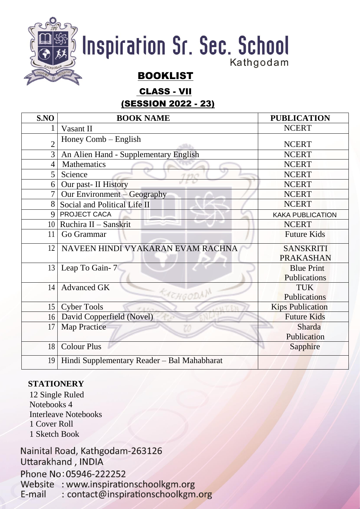

CLASS - VII

#### (SESSION 2022 - 23)

| S.NO           | <b>BOOK NAME</b>                            | <b>PUBLICATION</b>      |
|----------------|---------------------------------------------|-------------------------|
| 1              | Vasant II                                   | <b>NCERT</b>            |
| $\overline{2}$ | Honey Comb – English                        | <b>NCERT</b>            |
| 3              | An Alien Hand - Supplementary English       | <b>NCERT</b>            |
| $\overline{4}$ | Mathematics                                 | <b>NCERT</b>            |
| 5              | Science<br>1110                             | <b>NCERT</b>            |
| 6              | Our past- II History                        | <b>NCERT</b>            |
| $\overline{7}$ | Our Environment $-$ Geography               | <b>NCERT</b>            |
| 8              | Social and Political Life II                | <b>NCERT</b>            |
| $\mathbf Q$    | PROJECT CACA                                | <b>KAKA PUBLICATION</b> |
|                | $10$ Ruchira II - Sanskrit                  | <b>NCERT</b>            |
| 11             | Go Grammar                                  | <b>Future Kids</b>      |
| 12             | NAVEEN HINDI VYAKARAN EVAM RACHNA           | <b>SANSKRITI</b>        |
|                |                                             | <b>PRAKASHAN</b>        |
| 13             | Leap To Gain-7                              | <b>Blue Print</b>       |
|                |                                             | Publications            |
| 14             | <b>Advanced GK</b>                          | <b>TUK</b>              |
|                | EACHGODAN                                   | Publications            |
| 15             | <b>Cyber Tools</b><br>$7.11 -$              | <b>Kips Publication</b> |
|                | 16 David Copperfield (Novel)                | <b>Future Kids</b>      |
| 17             | <b>Map Practice</b>                         | Sharda                  |
|                |                                             | Publication             |
| 18             | <b>Colour Plus</b>                          | Sapphire                |
| 19             | Hindi Supplementary Reader - Bal Mahabharat |                         |

#### **STATIONERY**

12 Single Ruled Notebooks 4 Interleave Notebooks 1 Cover Roll 1 Sketch Book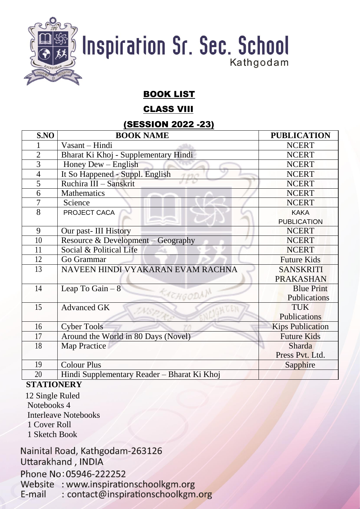

#### BOOK LIST

#### CLASS VIII

#### (SESSION 2022 -23)

| S.NO           | <b>BOOK NAME</b>                            | <b>PUBLICATION</b> |
|----------------|---------------------------------------------|--------------------|
|                | Vasant – Hindi                              | <b>NCERT</b>       |
| $\overline{2}$ | Bharat Ki Khoj - Supplementary Hindi        | <b>NCERT</b>       |
| 3              | Honey $Dew - English$                       | <b>NCERT</b>       |
| $\overline{4}$ | It So Happened - Suppl. English<br>チラビラ     | <b>NCERT</b>       |
| 5              | Ruchira III - Sanskrit                      | <b>NCERT</b>       |
| 6              | Mathematics                                 | <b>NCERT</b>       |
| 7              | Science                                     | <b>NCERT</b>       |
| $\overline{8}$ | PROJECT CACA                                | <b>KAKA</b>        |
|                |                                             | <b>PUBLICATION</b> |
| 9              | Our past-III History                        | <b>NCERT</b>       |
| 10             | Resource & Development - Geography          | <b>NCERT</b>       |
| 11             | Social & Political Life                     | <b>NCERT</b>       |
| 12             | Go Grammar                                  | <b>Future Kids</b> |
| 13             | NAVEEN HINDI VYAKARAN EVAM RACHNA           | <b>SANSKRITI</b>   |
|                |                                             | <b>PRAKASHAN</b>   |
| 14             | Leap To Gain $-8$                           | <b>Blue Print</b>  |
|                | EACHGODAM                                   | Publications       |
| 15             | <b>Advanced GK</b><br>INS.P.                | <b>TUK</b>         |
|                |                                             | Publications       |
| 16             | <b>Cyber Tools</b>                          | Kips Publication   |
| 17             | Around the World in 80 Days (Novel)         | <b>Future Kids</b> |
| 18             | Map Practice                                | Sharda             |
|                |                                             | Press Pvt. Ltd.    |
| 19             | <b>Colour Plus</b>                          | Sapphire           |
| 20             | Hindi Supplementary Reader – Bharat Ki Khoj |                    |

#### **STATIONERY**

12 Single Ruled Notebooks 4 Interleave Notebooks 1 Cover Roll

1 Sketch Book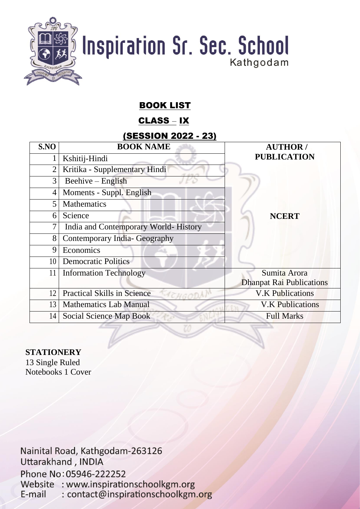

#### BOOK LIST

#### CLASS – IX

#### (SESSION 2022 - 23)

| S.NO           | <b>BOOK NAME</b>                     | <b>AUTHOR/</b>                  |
|----------------|--------------------------------------|---------------------------------|
|                | Kshitij-Hindi                        | <b>PUBLICATION</b>              |
| $\overline{2}$ | Kritika - Supplementary Hindi        |                                 |
| 3              | $Beehive - English$                  |                                 |
| 4              | Moments - Suppl. English             |                                 |
| 5              | Mathematics                          |                                 |
| 6              | Science                              | <b>NCERT</b>                    |
| 7              | India and Contemporary World-History |                                 |
| 8              | Contemporary India-Geography         |                                 |
| 9              | Economics                            |                                 |
| 10             | <b>Democratic Politics</b>           |                                 |
| 11             | <b>Information Technology</b>        | Sumita Arora                    |
|                |                                      | <b>Dhanpat Rai Publications</b> |
| 12             | <b>Practical Skills in Science</b>   | <b>V.K Publications</b>         |
| 13             | <b>Mathematics Lab Manual</b>        | <b>V.K Publications</b>         |
| 14             | Social Science Map Book              | <b>Full Marks</b>               |

#### **STATIONERY**

13 Single Ruled Notebooks 1 Cover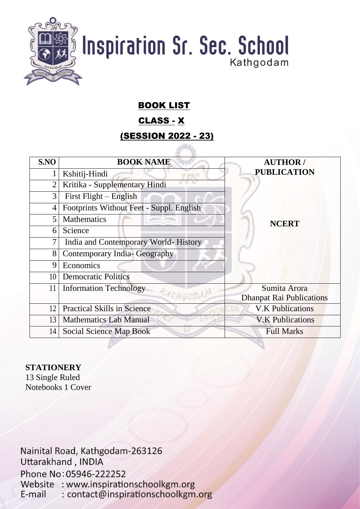

#### BOOK LIST

#### CLASS - X

#### (SESSION 2022 - 23)

| S.NO           | <b>BOOK NAME</b>                         | <b>AUTHOR/</b>                  |
|----------------|------------------------------------------|---------------------------------|
|                | Kshitij-Hindi                            | <b>PUBLICATION</b>              |
| $\overline{2}$ | Kritika - Supplementary Hindi            |                                 |
| 3              | First Flight – English                   |                                 |
| $\overline{4}$ | Footprints Without Feet - Suppl. English |                                 |
| 5              | <b>Mathematics</b>                       | <b>NCERT</b>                    |
| 6              | Science                                  |                                 |
| 7              | India and Contemporary World-History     |                                 |
| 8              | Contemporary India- Geography            |                                 |
| 9              | Economics                                |                                 |
| 10             | <b>Democratic Politics</b>               |                                 |
| 11             | <b>Information Technology</b>            | Sumita Arora                    |
|                | KACHGODN                                 | <b>Dhanpat Rai Publications</b> |
| 12             | <b>Practical Skills in Science</b>       | <b>V.K Publications</b>         |
| 13             | <b>Mathematics Lab Manual</b>            | <b>V.K Publications</b>         |
| 14             | Social Science Map Book                  | <b>Full Marks</b>               |

#### **STATIONERY**

13 Single Ruled Notebooks 1 Cover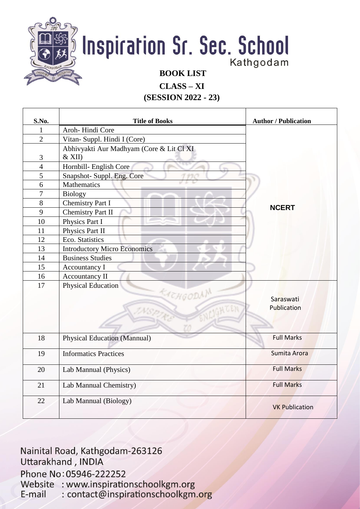

**CLASS – XI**

**(SESSION 2022 - 23)**

| S.No.            | <b>Title of Books</b>                    | <b>Author / Publication</b> |
|------------------|------------------------------------------|-----------------------------|
| $\mathbf{1}$     | Aroh-Hindi Core                          |                             |
| $\overline{2}$   | Vitan- Suppl. Hindi I (Core)             |                             |
|                  | Abhivyakti Aur Madhyam (Core & Lit Cl XI |                             |
| 3                | $&$ XII)                                 |                             |
| $\overline{4}$   | Hornbill- English Core                   |                             |
| 5                | Snapshot- Suppl. Eng. Core               |                             |
| 6                | Mathematics                              |                             |
| $\boldsymbol{7}$ | <b>Biology</b>                           |                             |
| 8                | <b>Chemistry Part I</b>                  |                             |
| 9                | <b>Chemistry Part II</b>                 | <b>NCERT</b>                |
| 10               | Physics Part I                           |                             |
| 11               | Physics Part II                          |                             |
| 12               | Eco. Statistics                          |                             |
| 13               | <b>Introductory Micro Economics</b>      |                             |
| 14               | <b>Business Studies</b>                  |                             |
| 15               | Accountancy I                            |                             |
| 16               | <b>Accountancy II</b>                    |                             |
| 17               | <b>Physical Education</b>                |                             |
|                  | CACHGODAL                                | Saraswati                   |
|                  |                                          | Publication                 |
|                  |                                          |                             |
|                  |                                          |                             |
|                  |                                          |                             |
| 18               | <b>Physical Education (Mannual)</b>      | <b>Full Marks</b>           |
| 19               | <b>Informatics Practices</b>             | Sumita Arora                |
|                  |                                          |                             |
| 20               | Lab Mannual (Physics)                    | <b>Full Marks</b>           |
|                  |                                          | <b>Full Marks</b>           |
| 21               | Lab Mannual Chemistry)                   |                             |
| 22               | Lab Mannual (Biology)                    |                             |
|                  |                                          | <b>VK Publication</b>       |